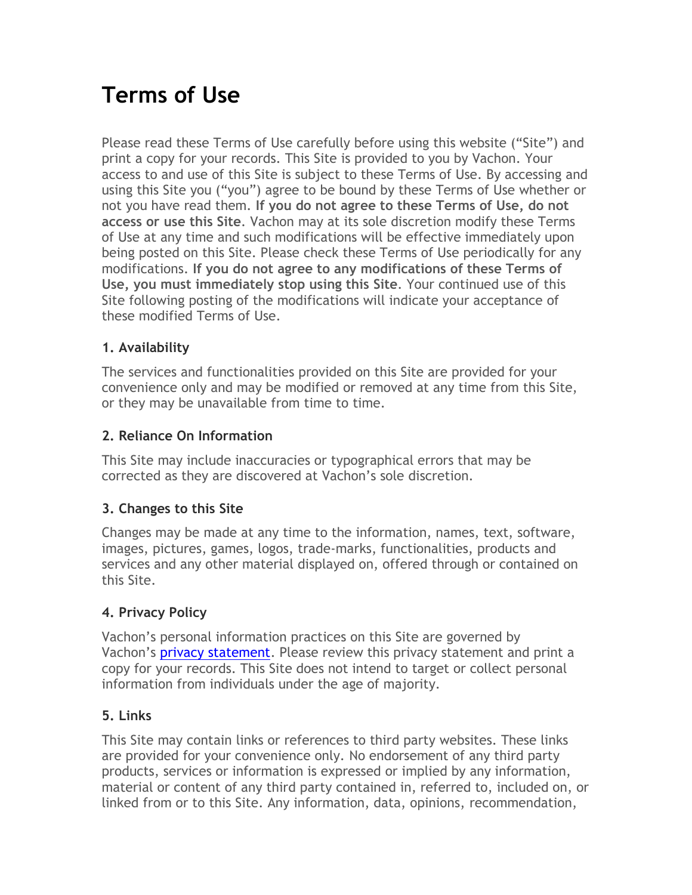# **Terms of Use**

Please read these Terms of Use carefully before using this website ("Site") and print a copy for your records. This Site is provided to you by Vachon. Your access to and use of this Site is subject to these Terms of Use. By accessing and using this Site you ("you") agree to be bound by these Terms of Use whether or not you have read them. **If you do not agree to these Terms of Use, do not access or use this Site**. Vachon may at its sole discretion modify these Terms of Use at any time and such modifications will be effective immediately upon being posted on this Site. Please check these Terms of Use periodically for any modifications. **If you do not agree to any modifications of these Terms of Use, you must immediately stop using this Site**. Your continued use of this Site following posting of the modifications will indicate your acceptance of these modified Terms of Use.

# **1. Availability**

The services and functionalities provided on this Site are provided for your convenience only and may be modified or removed at any time from this Site, or they may be unavailable from time to time.

# **2. Reliance On Information**

This Site may include inaccuracies or typographical errors that may be corrected as they are discovered at Vachon's sole discretion.

## **3. Changes to this Site**

Changes may be made at any time to the information, names, text, software, images, pictures, games, logos, trade-marks, functionalities, products and services and any other material displayed on, offered through or contained on this Site.

# **4. Privacy Policy**

Vachon's personal information practices on this Site are governed by Vachon's **privacy [statement.](https://www.vachon.com/static/pdf/Vachon-Privacy-Statement.pdf)** Please review this privacy statement and print a copy for your records. This Site does not intend to target or collect personal information from individuals under the age of majority.

## **5. Links**

This Site may contain links or references to third party websites. These links are provided for your convenience only. No endorsement of any third party products, services or information is expressed or implied by any information, material or content of any third party contained in, referred to, included on, or linked from or to this Site. Any information, data, opinions, recommendation,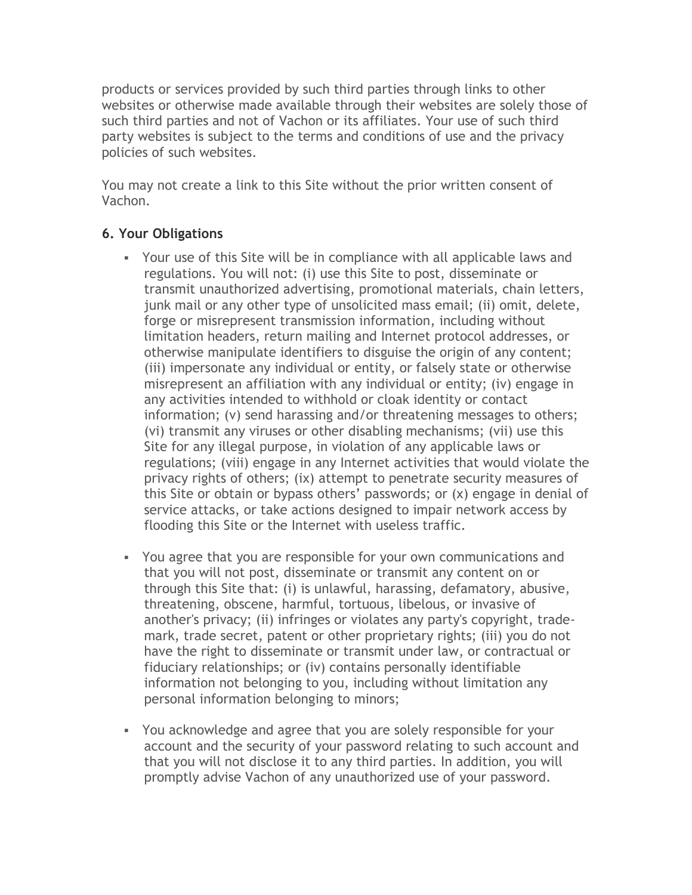products or services provided by such third parties through links to other websites or otherwise made available through their websites are solely those of such third parties and not of Vachon or its affiliates. Your use of such third party websites is subject to the terms and conditions of use and the privacy policies of such websites.

You may not create a link to this Site without the prior written consent of Vachon.

## **6. Your Obligations**

- Your use of this Site will be in compliance with all applicable laws and regulations. You will not: (i) use this Site to post, disseminate or transmit unauthorized advertising, promotional materials, chain letters, junk mail or any other type of unsolicited mass email; (ii) omit, delete, forge or misrepresent transmission information, including without limitation headers, return mailing and Internet protocol addresses, or otherwise manipulate identifiers to disguise the origin of any content; (iii) impersonate any individual or entity, or falsely state or otherwise misrepresent an affiliation with any individual or entity; (iv) engage in any activities intended to withhold or cloak identity or contact information; (v) send harassing and/or threatening messages to others; (vi) transmit any viruses or other disabling mechanisms; (vii) use this Site for any illegal purpose, in violation of any applicable laws or regulations; (viii) engage in any Internet activities that would violate the privacy rights of others; (ix) attempt to penetrate security measures of this Site or obtain or bypass others' passwords; or (x) engage in denial of service attacks, or take actions designed to impair network access by flooding this Site or the Internet with useless traffic.
- You agree that you are responsible for your own communications and that you will not post, disseminate or transmit any content on or through this Site that: (i) is unlawful, harassing, defamatory, abusive, threatening, obscene, harmful, tortuous, libelous, or invasive of another's privacy; (ii) infringes or violates any party's copyright, trademark, trade secret, patent or other proprietary rights; (iii) you do not have the right to disseminate or transmit under law, or contractual or fiduciary relationships; or (iv) contains personally identifiable information not belonging to you, including without limitation any personal information belonging to minors;
- You acknowledge and agree that you are solely responsible for your account and the security of your password relating to such account and that you will not disclose it to any third parties. In addition, you will promptly advise Vachon of any unauthorized use of your password.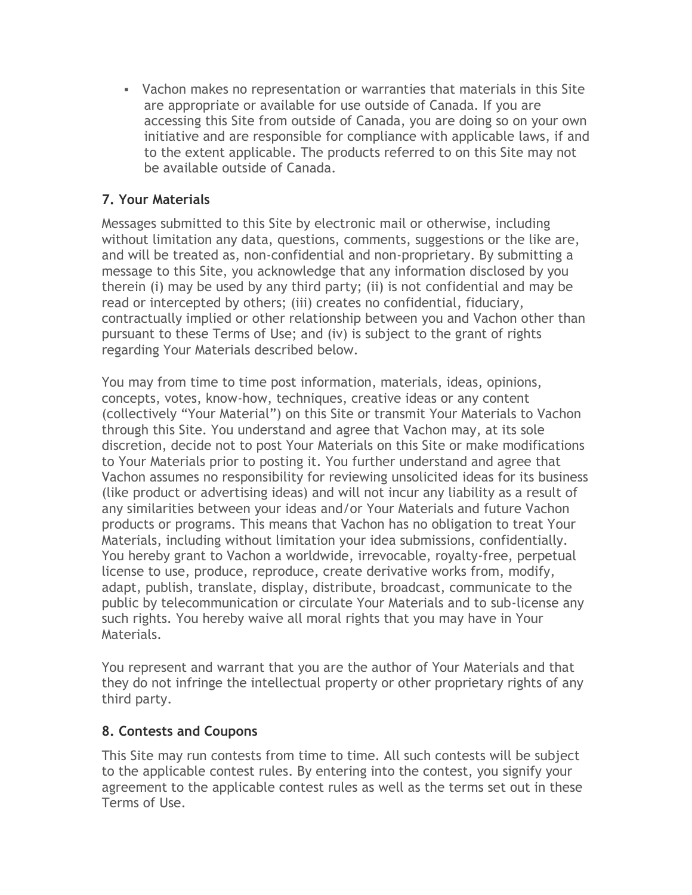▪ Vachon makes no representation or warranties that materials in this Site are appropriate or available for use outside of Canada. If you are accessing this Site from outside of Canada, you are doing so on your own initiative and are responsible for compliance with applicable laws, if and to the extent applicable. The products referred to on this Site may not be available outside of Canada.

# **7. Your Materials**

Messages submitted to this Site by electronic mail or otherwise, including without limitation any data, questions, comments, suggestions or the like are, and will be treated as, non-confidential and non-proprietary. By submitting a message to this Site, you acknowledge that any information disclosed by you therein (i) may be used by any third party; (ii) is not confidential and may be read or intercepted by others; (iii) creates no confidential, fiduciary, contractually implied or other relationship between you and Vachon other than pursuant to these Terms of Use; and (iv) is subject to the grant of rights regarding Your Materials described below.

You may from time to time post information, materials, ideas, opinions, concepts, votes, know-how, techniques, creative ideas or any content (collectively "Your Material") on this Site or transmit Your Materials to Vachon through this Site. You understand and agree that Vachon may, at its sole discretion, decide not to post Your Materials on this Site or make modifications to Your Materials prior to posting it. You further understand and agree that Vachon assumes no responsibility for reviewing unsolicited ideas for its business (like product or advertising ideas) and will not incur any liability as a result of any similarities between your ideas and/or Your Materials and future Vachon products or programs. This means that Vachon has no obligation to treat Your Materials, including without limitation your idea submissions, confidentially. You hereby grant to Vachon a worldwide, irrevocable, royalty-free, perpetual license to use, produce, reproduce, create derivative works from, modify, adapt, publish, translate, display, distribute, broadcast, communicate to the public by telecommunication or circulate Your Materials and to sub-license any such rights. You hereby waive all moral rights that you may have in Your Materials.

You represent and warrant that you are the author of Your Materials and that they do not infringe the intellectual property or other proprietary rights of any third party.

## **8. Contests and Coupons**

This Site may run contests from time to time. All such contests will be subject to the applicable contest rules. By entering into the contest, you signify your agreement to the applicable contest rules as well as the terms set out in these Terms of Use.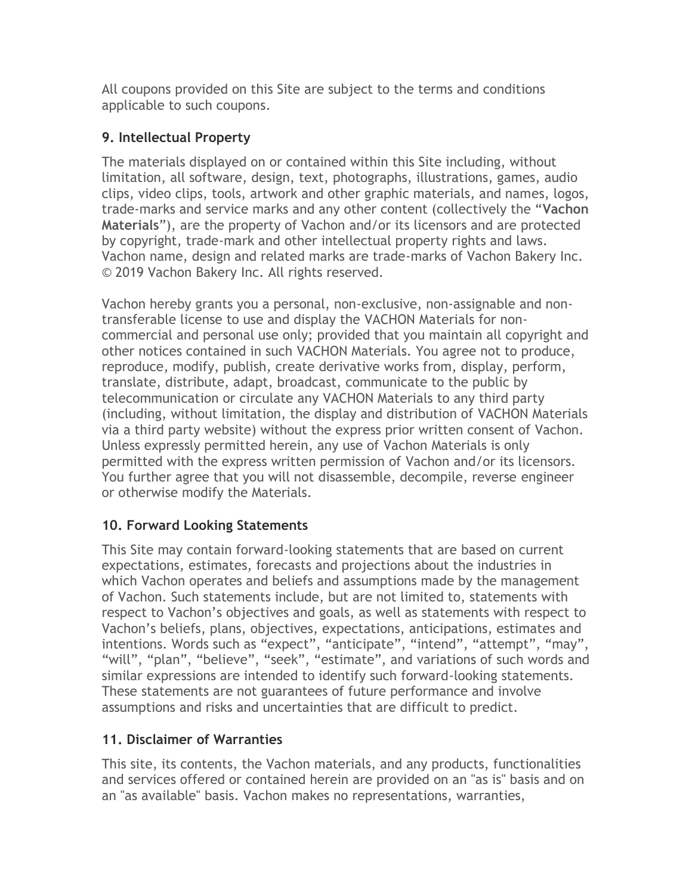All coupons provided on this Site are subject to the terms and conditions applicable to such coupons.

# **9. Intellectual Property**

The materials displayed on or contained within this Site including, without limitation, all software, design, text, photographs, illustrations, games, audio clips, video clips, tools, artwork and other graphic materials, and names, logos, trade-marks and service marks and any other content (collectively the "**Vachon Materials**"), are the property of Vachon and/or its licensors and are protected by copyright, trade-mark and other intellectual property rights and laws. Vachon name, design and related marks are trade-marks of Vachon Bakery Inc. © 2019 Vachon Bakery Inc. All rights reserved.

Vachon hereby grants you a personal, non-exclusive, non-assignable and nontransferable license to use and display the VACHON Materials for noncommercial and personal use only; provided that you maintain all copyright and other notices contained in such VACHON Materials. You agree not to produce, reproduce, modify, publish, create derivative works from, display, perform, translate, distribute, adapt, broadcast, communicate to the public by telecommunication or circulate any VACHON Materials to any third party (including, without limitation, the display and distribution of VACHON Materials via a third party website) without the express prior written consent of Vachon. Unless expressly permitted herein, any use of Vachon Materials is only permitted with the express written permission of Vachon and/or its licensors. You further agree that you will not disassemble, decompile, reverse engineer or otherwise modify the Materials.

# **10. Forward Looking Statements**

This Site may contain forward-looking statements that are based on current expectations, estimates, forecasts and projections about the industries in which Vachon operates and beliefs and assumptions made by the management of Vachon. Such statements include, but are not limited to, statements with respect to Vachon's objectives and goals, as well as statements with respect to Vachon's beliefs, plans, objectives, expectations, anticipations, estimates and intentions. Words such as "expect", "anticipate", "intend", "attempt", "may", "will", "plan", "believe", "seek", "estimate", and variations of such words and similar expressions are intended to identify such forward-looking statements. These statements are not guarantees of future performance and involve assumptions and risks and uncertainties that are difficult to predict.

# **11. Disclaimer of Warranties**

This site, its contents, the Vachon materials, and any products, functionalities and services offered or contained herein are provided on an "as is" basis and on an "as available" basis. Vachon makes no representations, warranties,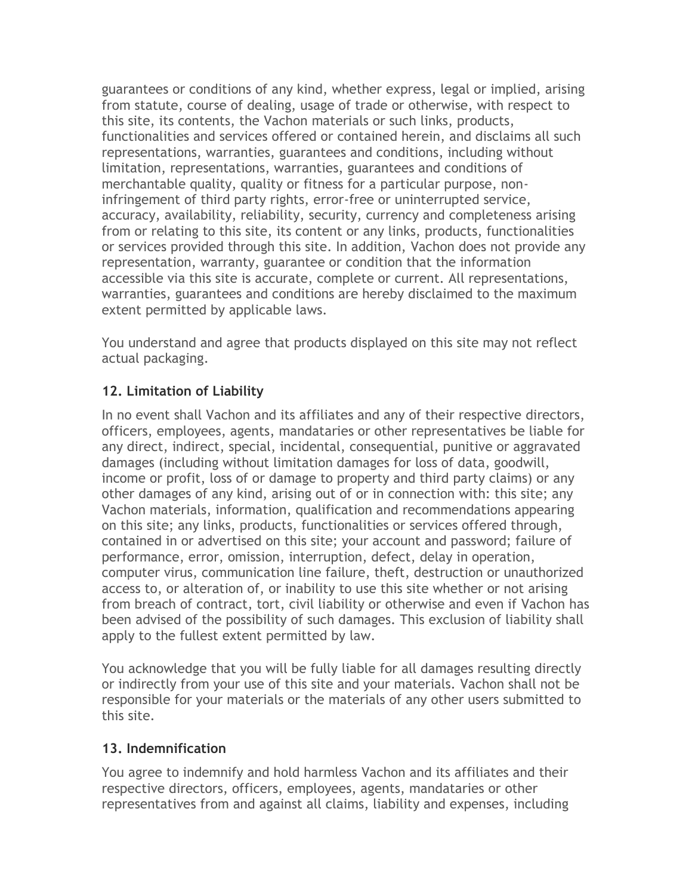guarantees or conditions of any kind, whether express, legal or implied, arising from statute, course of dealing, usage of trade or otherwise, with respect to this site, its contents, the Vachon materials or such links, products, functionalities and services offered or contained herein, and disclaims all such representations, warranties, guarantees and conditions, including without limitation, representations, warranties, guarantees and conditions of merchantable quality, quality or fitness for a particular purpose, noninfringement of third party rights, error-free or uninterrupted service, accuracy, availability, reliability, security, currency and completeness arising from or relating to this site, its content or any links, products, functionalities or services provided through this site. In addition, Vachon does not provide any representation, warranty, guarantee or condition that the information accessible via this site is accurate, complete or current. All representations, warranties, guarantees and conditions are hereby disclaimed to the maximum extent permitted by applicable laws.

You understand and agree that products displayed on this site may not reflect actual packaging.

# **12. Limitation of Liability**

In no event shall Vachon and its affiliates and any of their respective directors, officers, employees, agents, mandataries or other representatives be liable for any direct, indirect, special, incidental, consequential, punitive or aggravated damages (including without limitation damages for loss of data, goodwill, income or profit, loss of or damage to property and third party claims) or any other damages of any kind, arising out of or in connection with: this site; any Vachon materials, information, qualification and recommendations appearing on this site; any links, products, functionalities or services offered through, contained in or advertised on this site; your account and password; failure of performance, error, omission, interruption, defect, delay in operation, computer virus, communication line failure, theft, destruction or unauthorized access to, or alteration of, or inability to use this site whether or not arising from breach of contract, tort, civil liability or otherwise and even if Vachon has been advised of the possibility of such damages. This exclusion of liability shall apply to the fullest extent permitted by law.

You acknowledge that you will be fully liable for all damages resulting directly or indirectly from your use of this site and your materials. Vachon shall not be responsible for your materials or the materials of any other users submitted to this site.

## **13. Indemnification**

You agree to indemnify and hold harmless Vachon and its affiliates and their respective directors, officers, employees, agents, mandataries or other representatives from and against all claims, liability and expenses, including